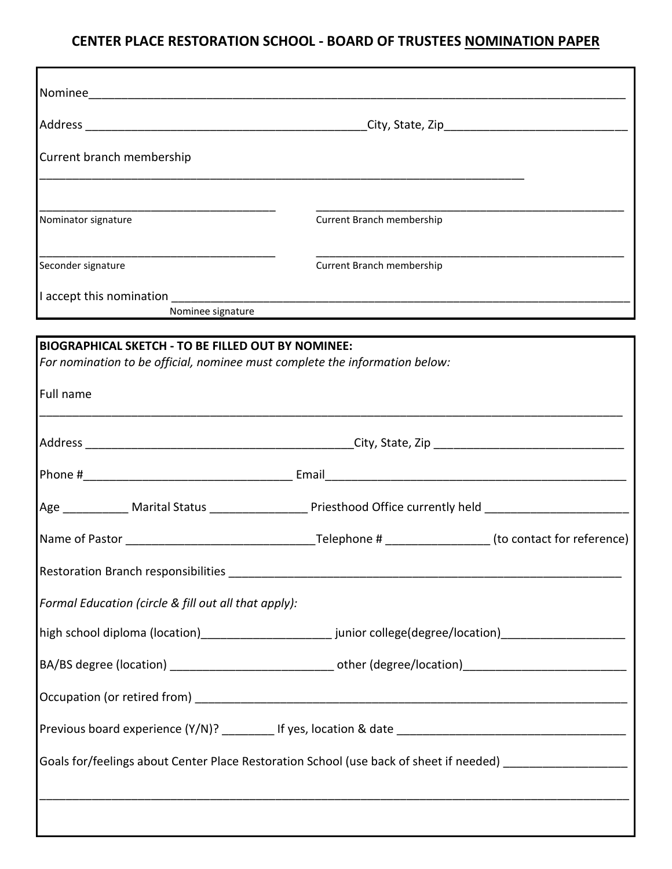## **CENTER PLACE RESTORATION SCHOOL - BOARD OF TRUSTEES NOMINATION PAPER**

| Nominee                                       |                                            |  |
|-----------------------------------------------|--------------------------------------------|--|
| Address                                       | _City, State, Zip_________________________ |  |
| Current branch membership                     |                                            |  |
| Nominator signature                           | Current Branch membership                  |  |
| Seconder signature                            | Current Branch membership                  |  |
| I accept this nomination<br>Nominee signature |                                            |  |

| <b>BIOGRAPHICAL SKETCH - TO BE FILLED OUT BY NOMINEE:</b><br>For nomination to be official, nominee must complete the information below: |                                                                                                                |  |  |  |
|------------------------------------------------------------------------------------------------------------------------------------------|----------------------------------------------------------------------------------------------------------------|--|--|--|
| Full name                                                                                                                                |                                                                                                                |  |  |  |
|                                                                                                                                          |                                                                                                                |  |  |  |
|                                                                                                                                          |                                                                                                                |  |  |  |
|                                                                                                                                          |                                                                                                                |  |  |  |
|                                                                                                                                          | Age ____________ Marital Status ____________________ Priesthood Office currently held ________________________ |  |  |  |
|                                                                                                                                          |                                                                                                                |  |  |  |
|                                                                                                                                          |                                                                                                                |  |  |  |
| Formal Education (circle & fill out all that apply):                                                                                     |                                                                                                                |  |  |  |
|                                                                                                                                          |                                                                                                                |  |  |  |
|                                                                                                                                          | BA/BS degree (location) __________________________________ other (degree/location) ___________________________ |  |  |  |
|                                                                                                                                          |                                                                                                                |  |  |  |
|                                                                                                                                          |                                                                                                                |  |  |  |
|                                                                                                                                          | Goals for/feelings about Center Place Restoration School (use back of sheet if needed)                         |  |  |  |
|                                                                                                                                          |                                                                                                                |  |  |  |
|                                                                                                                                          |                                                                                                                |  |  |  |